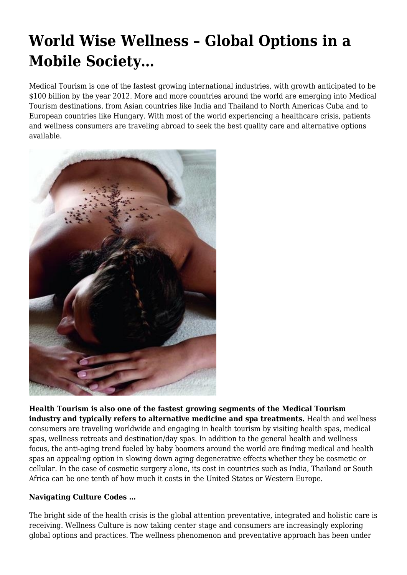# **World Wise Wellness – Global Options in a Mobile Society…**

Medical Tourism is one of the fastest growing international industries, with growth anticipated to be \$100 billion by the year 2012. More and more countries around the world are emerging into Medical Tourism destinations, from Asian countries like India and Thailand to North Americas Cuba and to European countries like Hungary. With most of the world experiencing a healthcare crisis, patients and wellness consumers are traveling abroad to seek the best quality care and alternative options available.



**Health Tourism is also one of the fastest growing segments of the Medical Tourism industry and typically refers to alternative medicine and spa treatments.** Health and wellness consumers are traveling worldwide and engaging in health tourism by visiting health spas, medical spas, wellness retreats and destination/day spas. In addition to the general health and wellness focus, the anti-aging trend fueled by baby boomers around the world are finding medical and health spas an appealing option in slowing down aging degenerative effects whether they be cosmetic or cellular. In the case of cosmetic surgery alone, its cost in countries such as India, Thailand or South Africa can be one tenth of how much it costs in the United States or Western Europe.

## **Navigating Culture Codes …**

The bright side of the health crisis is the global attention preventative, integrated and holistic care is receiving. Wellness Culture is now taking center stage and consumers are increasingly exploring global options and practices. The wellness phenomenon and preventative approach has been under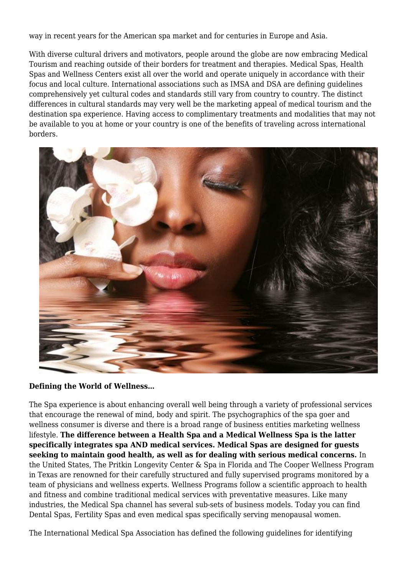way in recent years for the American spa market and for centuries in Europe and Asia.

With diverse cultural drivers and motivators, people around the globe are now embracing Medical Tourism and reaching outside of their borders for treatment and therapies. Medical Spas, Health Spas and Wellness Centers exist all over the world and operate uniquely in accordance with their focus and local culture. International associations such as IMSA and DSA are defining guidelines comprehensively yet cultural codes and standards still vary from country to country. The distinct differences in cultural standards may very well be the marketing appeal of medical tourism and the destination spa experience. Having access to complimentary treatments and modalities that may not be available to you at home or your country is one of the benefits of traveling across international borders.



#### **Defining the World of Wellness…**

The Spa experience is about enhancing overall well being through a variety of professional services that encourage the renewal of mind, body and spirit. The psychographics of the spa goer and wellness consumer is diverse and there is a broad range of business entities marketing wellness lifestyle. **The difference between a Health Spa and a Medical Wellness Spa is the latter specifically integrates spa AND medical services. Medical Spas are designed for guests seeking to maintain good health, as well as for dealing with serious medical concerns.** In the United States, The Pritkin Longevity Center & Spa in Florida and The Cooper Wellness Program in Texas are renowned for their carefully structured and fully supervised programs monitored by a team of physicians and wellness experts. Wellness Programs follow a scientific approach to health and fitness and combine traditional medical services with preventative measures. Like many industries, the Medical Spa channel has several sub-sets of business models. Today you can find Dental Spas, Fertility Spas and even medical spas specifically serving menopausal women.

The International Medical Spa Association has defined the following guidelines for identifying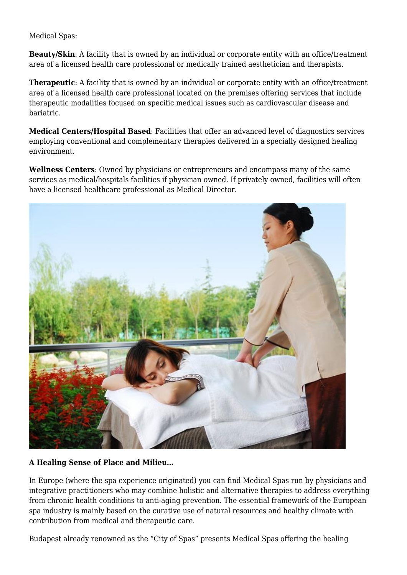#### Medical Spas:

**Beauty/Skin:** A facility that is owned by an individual or corporate entity with an office/treatment area of a licensed health care professional or medically trained aesthetician and therapists.

**Therapeutic**: A facility that is owned by an individual or corporate entity with an office/treatment area of a licensed health care professional located on the premises offering services that include therapeutic modalities focused on specific medical issues such as cardiovascular disease and bariatric.

**Medical Centers/Hospital Based**: Facilities that offer an advanced level of diagnostics services employing conventional and complementary therapies delivered in a specially designed healing environment.

**Wellness Centers**: Owned by physicians or entrepreneurs and encompass many of the same services as medical/hospitals facilities if physician owned. If privately owned, facilities will often have a licensed healthcare professional as Medical Director.



## **A Healing Sense of Place and Milieu…**

In Europe (where the spa experience originated) you can find Medical Spas run by physicians and integrative practitioners who may combine holistic and alternative therapies to address everything from chronic health conditions to anti-aging prevention. The essential framework of the European spa industry is mainly based on the curative use of natural resources and healthy climate with contribution from medical and therapeutic care.

Budapest already renowned as the "City of Spas" presents Medical Spas offering the healing